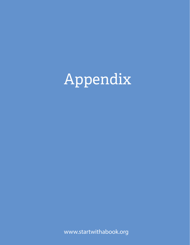

www.startwithabook.org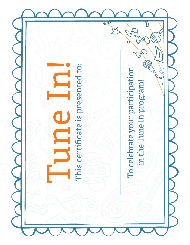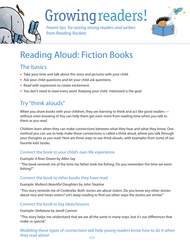

## Growingreaders!

Parent tips for raising strong readers and writers from Reading Rockets



## Reading Aloud: Fiction Books

### The basics

- Take your time and talk about the story and pictures with your child.
- Ask your child questions and let your child ask questions.
- Read with expression to create excitement.
- You don't need to read every word. Keeping your child interested is the goal.

## Try "think alouds"

When you share books with your children, they are learning to think and act like good readers without even knowing it! You can help them get even more from reading time when you talk to them as you read.

Children learn when they can make connections between what they hear and what they know. One method you can use to help make these connections is called a think aloud, where you talk through your thoughts as you read. Here are three ways to use think alouds, with examples from some of our favorite kids' books.

#### Connect the book to your child's own life experience

Example: A River Dream by Allen Say

"This book reminds me of the time my father took me fishing. Do you remember the time we went fishing?"

#### Connect the book to other books they have read

Example: Mufaro's Beautiful Daughters by John Steptoe

"This story reminds me of Cinderella. Both stories are about sisters. Do you know any other stories about nice and mean sisters? Let's keep reading to find out other ways the stories are similar."

#### Connect the book to big ideas/lessons

Example: Stellaluna by Janell Cannon

"This story helps me understand that we are all the same in many ways, but it's our differences that make us special."

Modeling these types of connections will help young readers know how to do it when they read alone!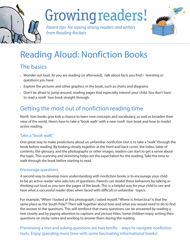

## Growingreaders!

Parent tips for raising strong readers and writers from Reading Rockets



## Reading Aloud: Nonfiction Books

### The basics

- Wonder out loud. As you are reading (or afterward), talk about facts you find i teresting or questions you have.
- Explore the pictures and other graphics in the book, such as charts and diagrams.
- Don't be afraid to jump around, reading pages that especially interest your child. You don't have to read a nonfi tion book straight through.

### Getting the most out of nonfiction reading time

Nonfi tion books give kids a chance to learn new concepts and vocabulary, as well as broaden their view of the world. Here's how to take a "book walk" with a new nonfi tion book and how to model active reading.

#### Take a "book walk"

One great way to make predictions about an unfamiliar nonfiction text is to take a "walk" through the book before reading. By looking closely together at the front and back cover, the index, table of contents, the glossary, and the photographs or other images, readers can start to get a sense about the topic. This scanning and skimming helps set the expectation for the reading. Take the time to walk through the book before starting to read.

#### Encourage questions

A second way to develop more understanding with nonfiction books is to encourage your child to be an active reader who asks lots of questions. Parents can model these behaviors by talking or thinking out loud as you turn the pages of the book. This is a helpful way for your child to see and hear what a successful reader does when faced with difficult or unfamiliar topics.

For example, "When I looked at this photograph, I asked myself, "Where is Antarctica? Is that the same place as the South Pole?" Then talk together about how and what you would need to do to find the answer to the questions. This will reinforce that many questions can be answered by reading a text closely and by paying attention to captions and picture titles. Some children enjoy writing their questions on sticky notes and working to answer them during the reading.

Previewing a text and asking questions are two terrific ways to navigate nonfiction texts. Enjoy spending more time with some fascinating informational books!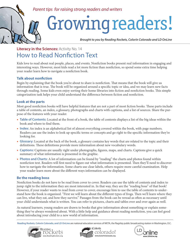#### *Parent tips for raising strong readers and writers*

# Growingreaders!

*Brought to you by Reading Rockets, Colorín Colorado and LD OnLine*

### How to Read Nonfiction Text **Literacy in the Sciences: Activity No. 14**

Kids love to read about real people, places, and events. Nonfiction books present real information in engaging and interesting ways. However, most kids read a lot more fiction than nonfiction, so spend some extra time helping your reader learn how to navigate a nonfiction book.

#### **Talk about nonfiction**

Begin by explaining that the book you're about to share is nonfiction. That means that the book will give us information that is true. The book will be organized around a specific topic or idea, and we may learn new facts through reading. Some kids even enjoy sorting their home libraries into fiction and nonfiction books. This simple categorization task helps your child understand the difference between fiction and nonfiction.

#### **Look at the parts**

Most good nonfiction books will have helpful features that are not a part of most fiction books. These parts include a table of contents, an index, a glossary, photographs and charts with captions, and a list of sources. Share the purpose of the features with your reader.

- **Table of Contents:** Located at the front of a book, the table of contents displays a list of the big ideas within the book and where to find them.
- **Index:** An index is an alphabetical list of almost everything covered within the book, with page numbers. Readers can use the index to look up specific terms or concepts and go right to the specific information they're looking for.
- **Glossary:** Located at the back of the book, a glossary contains key words that are related to the topic and their definitions. These definitions provide more information about new vocabulary words.
- **Captions:** Captions are usually right under photographs, figures, maps, and charts. Captions give a quick summary of what information is presented in the graphic.
- **Photos and Charts:** A lot of information can be found by "reading" the charts and photos found within nonfiction text. Readers will first need to figure out what information is presented. Then they'll need to discover how to navigate the information. Some charts use clear labels, others require more careful examination. Help your reader learn more about the different ways information can be displayed.

#### **Be the reading boss**

Nonfiction books do not have to be read from cover to cover. Readers can use the table of contents and index to jump right to the information they are most interested in. In that way, they are the "reading boss" of that book! However, if your reader wants to read from cover to cover, encourage him to use the table of contents to understand how the book is organized. "First we will learn about the different types of frogs. Then we'll learn where they can live, what they eat, and how they survive." Passages from the book can be reread as often as necessary until your child understands what is written. You can refer to pictures, charts and tables over and over again as well.

As natural learners, young readers are drawn to books that give information about something or explain something they've always wondered about. With a little help and guidance about reading nonfiction, you can feel good about introducing your child to a new world of information.

**Reading Rockets, Colorín Colorado, and LD OnLine** are national education services of WETA, the flagship public broadcasting station in Washington, D.C.